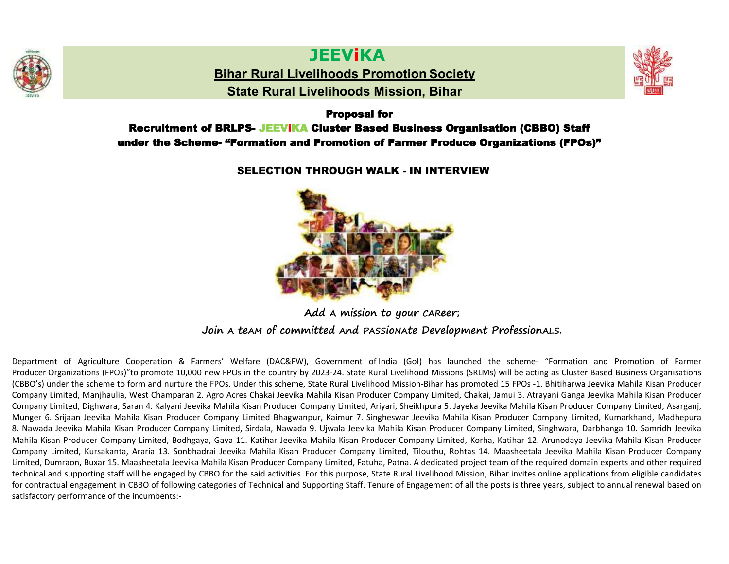

# **JEEViKA**

**Bihar Rural Livelihoods Promotion Society**

**State Rural Livelihoods Mission, Bihar**



#### Proposal for

# Recruitment of BRLPS- JEEViKA Cluster Based Business Organisation (CBBO) Staff under the Scheme- "Formation and Promotion of Farmer Produce Organizations (FPOs)"

## SELECTION THROUGH WALK - IN INTERVIEW



**Add A mission to your CAReer;**

# **Join A teAM of committed And PASSioNAte Development ProfessionALS.**

Department of Agriculture Cooperation & Farmers' Welfare (DAC&FW), Government of India (GoI) has launched the scheme- "Formation and Promotion of Farmer Producer Organizations (FPOs)"to promote 10,000 new FPOs in the country by 2023-24. State Rural Livelihood Missions (SRLMs) will be acting as Cluster Based Business Organisations (CBBO's) under the scheme to form and nurture the FPOs. Under this scheme, State Rural Livelihood Mission-Bihar has promoted 15 FPOs -1. Bhitiharwa Jeevika Mahila Kisan Producer Company Limited, Manjhaulia, West Champaran 2. Agro Acres Chakai Jeevika Mahila Kisan Producer Company Limited, Chakai, Jamui 3. Atrayani Ganga Jeevika Mahila Kisan Producer Company Limited, Dighwara, Saran 4. Kalyani Jeevika Mahila Kisan Producer Company Limited, Ariyari, Sheikhpura 5. Jayeka Jeevika Mahila Kisan Producer Company Limited, Asarganj, Munger 6. Srijaan Jeevika Mahila Kisan Producer Company Limited Bhagwanpur, Kaimur 7. Singheswar Jeevika Mahila Kisan Producer Company Limited, Kumarkhand, Madhepura 8. Nawada Jeevika Mahila Kisan Producer Company Limited, Sirdala, Nawada 9. Ujwala Jeevika Mahila Kisan Producer Company Limited, Singhwara, Darbhanga 10. Samridh Jeevika Mahila Kisan Producer Company Limited, Bodhgaya, Gaya 11. Katihar Jeevika Mahila Kisan Producer Company Limited, Korha, Katihar 12. Arunodaya Jeevika Mahila Kisan Producer Company Limited, Kursakanta, Araria 13. Sonbhadrai Jeevika Mahila Kisan Producer Company Limited, Tilouthu, Rohtas 14. Maasheetala Jeevika Mahila Kisan Producer Company Limited, Dumraon, Buxar 15. Maasheetala Jeevika Mahila Kisan Producer Company Limited, Fatuha, Patna. A dedicated project team of the required domain experts and other required technical and supporting staff will be engaged by CBBO for the said activities. For this purpose, State Rural Livelihood Mission, Bihar invites online applications from eligible candidates for contractual engagement in CBBO of following categories of Technical and Supporting Staff. Tenure of Engagement of all the posts is three years, subject to annual renewal based on satisfactory performance of the incumbents:-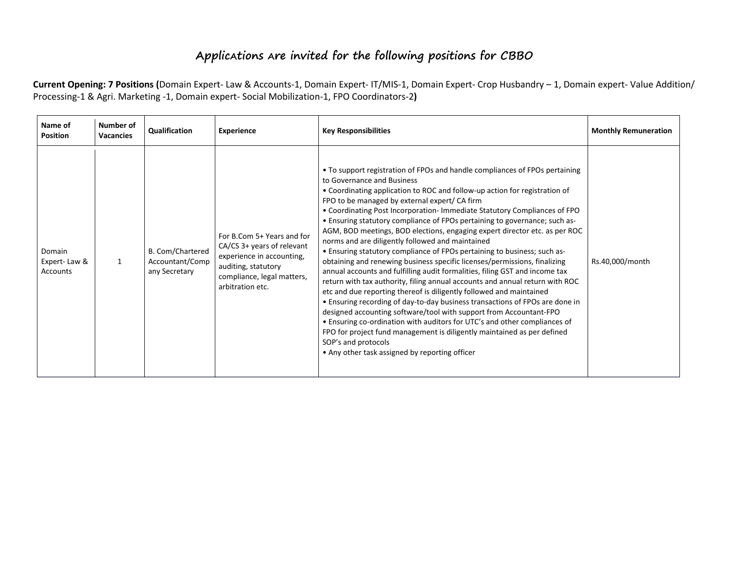# **ApplicAtions Are invited for the following positions for CBBO**

Current Opening: 7 Positions (Domain Expert- Law & Accounts-1, Domain Expert- IT/MIS-1, Domain Expert- Crop Husbandry - 1, Domain expert- Value Addition/ Processing-1 & Agri. Marketing -1, Domain expert- Social Mobilization-1, FPO Coordinators-2**)**

| Name of<br><b>Position</b>         | Number of<br><b>Vacancies</b> | Qualification                                        | <b>Experience</b>                                                                                                                                              | <b>Key Responsibilities</b>                                                                                                                                                                                                                                                                                                                                                                                                                                                                                                                                                                                                                                                                                                                                                                                                                                                                                                                                                                                                                                                                                                                                                                                                                                                                                                | <b>Monthly Remuneration</b> |
|------------------------------------|-------------------------------|------------------------------------------------------|----------------------------------------------------------------------------------------------------------------------------------------------------------------|----------------------------------------------------------------------------------------------------------------------------------------------------------------------------------------------------------------------------------------------------------------------------------------------------------------------------------------------------------------------------------------------------------------------------------------------------------------------------------------------------------------------------------------------------------------------------------------------------------------------------------------------------------------------------------------------------------------------------------------------------------------------------------------------------------------------------------------------------------------------------------------------------------------------------------------------------------------------------------------------------------------------------------------------------------------------------------------------------------------------------------------------------------------------------------------------------------------------------------------------------------------------------------------------------------------------------|-----------------------------|
| Domain<br>Expert-Law &<br>Accounts |                               | B. Com/Chartered<br>Accountant/Comp<br>any Secretary | For B.Com 5+ Years and for<br>CA/CS 3+ years of relevant<br>experience in accounting,<br>auditing, statutory<br>compliance, legal matters,<br>arbitration etc. | • To support registration of FPOs and handle compliances of FPOs pertaining<br>to Governance and Business<br>• Coordinating application to ROC and follow-up action for registration of<br>FPO to be managed by external expert/ CA firm<br>. Coordinating Post Incorporation-Immediate Statutory Compliances of FPO<br>• Ensuring statutory compliance of FPOs pertaining to governance; such as-<br>AGM, BOD meetings, BOD elections, engaging expert director etc. as per ROC<br>norms and are diligently followed and maintained<br>• Ensuring statutory compliance of FPOs pertaining to business; such as-<br>obtaining and renewing business specific licenses/permissions, finalizing<br>annual accounts and fulfilling audit formalities, filing GST and income tax<br>return with tax authority, filing annual accounts and annual return with ROC<br>etc and due reporting thereof is diligently followed and maintained<br>• Ensuring recording of day-to-day business transactions of FPOs are done in<br>designed accounting software/tool with support from Accountant-FPO<br>• Ensuring co-ordination with auditors for UTC's and other compliances of<br>FPO for project fund management is diligently maintained as per defined<br>SOP's and protocols<br>• Any other task assigned by reporting officer | Rs.40,000/month             |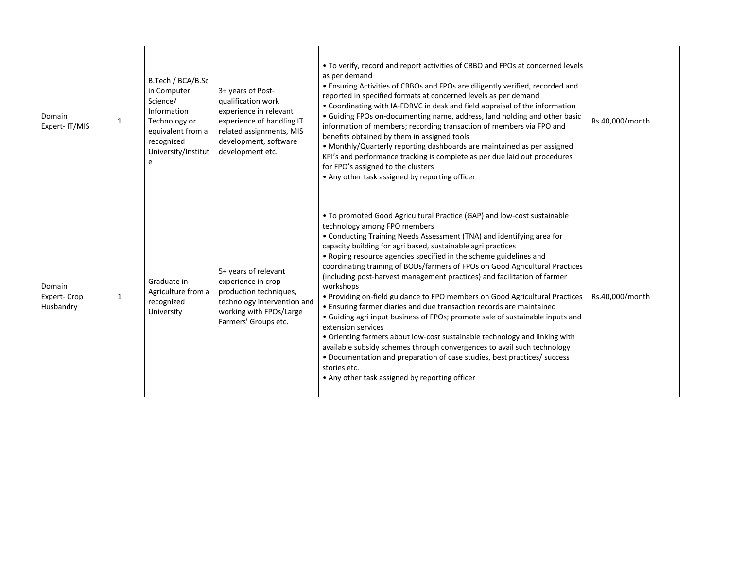| Domain<br>Expert-IT/MIS            | $\mathbf{1}$ | B.Tech / BCA/B.Sc<br>in Computer<br>Science/<br>Information<br>Technology or<br>equivalent from a<br>recognized<br>University/Institut<br>e | 3+ years of Post-<br>qualification work<br>experience in relevant<br>experience of handling IT<br>related assignments, MIS<br>development, software<br>development etc. | . To verify, record and report activities of CBBO and FPOs at concerned levels<br>as per demand<br>• Ensuring Activities of CBBOs and FPOs are diligently verified, recorded and<br>reported in specified formats at concerned levels as per demand<br>• Coordinating with IA-FDRVC in desk and field appraisal of the information<br>• Guiding FPOs on-documenting name, address, land holding and other basic<br>information of members; recording transaction of members via FPO and<br>benefits obtained by them in assigned tools<br>• Monthly/Quarterly reporting dashboards are maintained as per assigned<br>KPI's and performance tracking is complete as per due laid out procedures<br>for FPO's assigned to the clusters<br>• Any other task assigned by reporting officer                                                                                                                                                                                                                                                                              | Rs.40,000/month |
|------------------------------------|--------------|---------------------------------------------------------------------------------------------------------------------------------------------|-------------------------------------------------------------------------------------------------------------------------------------------------------------------------|---------------------------------------------------------------------------------------------------------------------------------------------------------------------------------------------------------------------------------------------------------------------------------------------------------------------------------------------------------------------------------------------------------------------------------------------------------------------------------------------------------------------------------------------------------------------------------------------------------------------------------------------------------------------------------------------------------------------------------------------------------------------------------------------------------------------------------------------------------------------------------------------------------------------------------------------------------------------------------------------------------------------------------------------------------------------|-----------------|
| Domain<br>Expert-Crop<br>Husbandry | $\mathbf{1}$ | Graduate in<br>Agriculture from a<br>recognized<br>University                                                                               | 5+ years of relevant<br>experience in crop<br>production techniques,<br>technology intervention and<br>working with FPOs/Large<br>Farmers' Groups etc.                  | • To promoted Good Agricultural Practice (GAP) and low-cost sustainable<br>technology among FPO members<br>• Conducting Training Needs Assessment (TNA) and identifying area for<br>capacity building for agri based, sustainable agri practices<br>• Roping resource agencies specified in the scheme guidelines and<br>coordinating training of BODs/farmers of FPOs on Good Agricultural Practices<br>(including post-harvest management practices) and facilitation of farmer<br>workshops<br>• Providing on-field guidance to FPO members on Good Agricultural Practices<br>• Ensuring farmer diaries and due transaction records are maintained<br>• Guiding agri input business of FPOs; promote sale of sustainable inputs and<br>extension services<br>• Orienting farmers about low-cost sustainable technology and linking with<br>available subsidy schemes through convergences to avail such technology<br>• Documentation and preparation of case studies, best practices/ success<br>stories etc.<br>• Any other task assigned by reporting officer | Rs.40,000/month |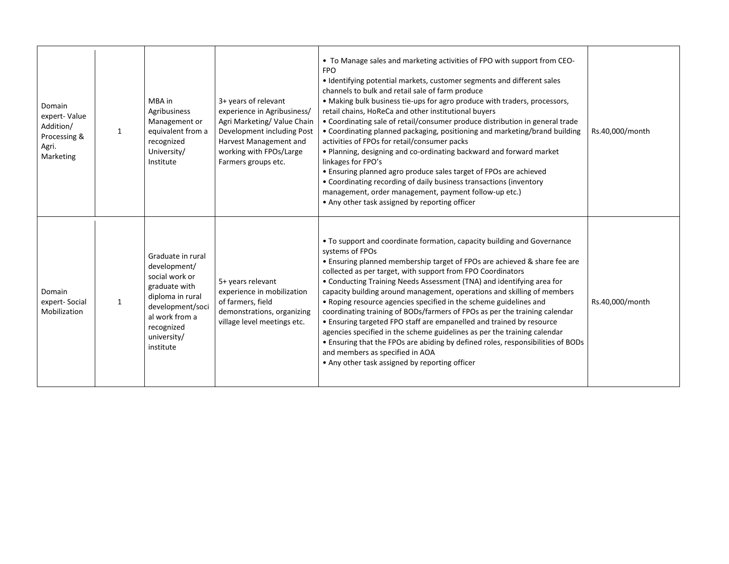| Domain<br>expert-Value<br>Addition/<br>Processing &<br>Agri.<br>Marketing | 1            | MBA in<br>Agribusiness<br>Management or<br>equivalent from a<br>recognized<br>University/<br>Institute                                                                   | 3+ years of relevant<br>experience in Agribusiness/<br>Agri Marketing/Value Chain<br>Development including Post<br>Harvest Management and<br>working with FPOs/Large<br>Farmers groups etc. | • To Manage sales and marketing activities of FPO with support from CEO-<br><b>FPO</b><br>• Identifying potential markets, customer segments and different sales<br>channels to bulk and retail sale of farm produce<br>• Making bulk business tie-ups for agro produce with traders, processors,<br>retail chains, HoReCa and other institutional buyers<br>• Coordinating sale of retail/consumer produce distribution in general trade<br>• Coordinating planned packaging, positioning and marketing/brand building<br>activities of FPOs for retail/consumer packs<br>• Planning, designing and co-ordinating backward and forward market<br>linkages for FPO's<br>• Ensuring planned agro produce sales target of FPOs are achieved<br>• Coordinating recording of daily business transactions (inventory<br>management, order management, payment follow-up etc.)<br>• Any other task assigned by reporting officer | Rs.40,000/month |
|---------------------------------------------------------------------------|--------------|--------------------------------------------------------------------------------------------------------------------------------------------------------------------------|---------------------------------------------------------------------------------------------------------------------------------------------------------------------------------------------|----------------------------------------------------------------------------------------------------------------------------------------------------------------------------------------------------------------------------------------------------------------------------------------------------------------------------------------------------------------------------------------------------------------------------------------------------------------------------------------------------------------------------------------------------------------------------------------------------------------------------------------------------------------------------------------------------------------------------------------------------------------------------------------------------------------------------------------------------------------------------------------------------------------------------|-----------------|
| Domain<br>expert-Social<br>Mobilization                                   | $\mathbf{1}$ | Graduate in rural<br>development/<br>social work or<br>graduate with<br>diploma in rural<br>development/soci<br>al work from a<br>recognized<br>university/<br>institute | 5+ years relevant<br>experience in mobilization<br>of farmers, field<br>demonstrations, organizing<br>village level meetings etc.                                                           | • To support and coordinate formation, capacity building and Governance<br>systems of FPOs<br>. Ensuring planned membership target of FPOs are achieved & share fee are<br>collected as per target, with support from FPO Coordinators<br>• Conducting Training Needs Assessment (TNA) and identifying area for<br>capacity building around management, operations and skilling of members<br>• Roping resource agencies specified in the scheme guidelines and<br>coordinating training of BODs/farmers of FPOs as per the training calendar<br>• Ensuring targeted FPO staff are empanelled and trained by resource<br>agencies specified in the scheme guidelines as per the training calendar<br>• Ensuring that the FPOs are abiding by defined roles, responsibilities of BODs<br>and members as specified in AOA<br>• Any other task assigned by reporting officer                                                  | Rs.40,000/month |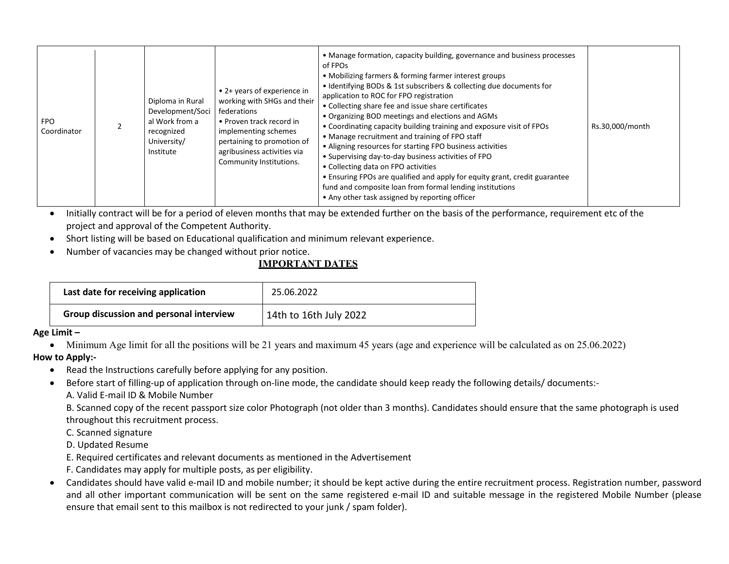| <b>FPO</b><br>Coordinator |  | Diploma in Rural<br>Development/Soci<br>al Work from a<br>recognized<br>University/<br>Institute | • 2+ years of experience in<br>working with SHGs and their<br>federations<br>• Proven track record in<br>implementing schemes<br>pertaining to promotion of<br>agribusiness activities via<br>Community Institutions. | • Manage formation, capacity building, governance and business processes<br>of FPOs<br>• Mobilizing farmers & forming farmer interest groups<br>• Identifying BODs & 1st subscribers & collecting due documents for<br>application to ROC for FPO registration<br>• Collecting share fee and issue share certificates<br>• Organizing BOD meetings and elections and AGMs<br>• Coordinating capacity building training and exposure visit of FPOs<br>• Manage recruitment and training of FPO staff<br>• Aligning resources for starting FPO business activities<br>• Supervising day-to-day business activities of FPO<br>• Collecting data on FPO activities<br>• Ensuring FPOs are qualified and apply for equity grant, credit guarantee<br>fund and composite loan from formal lending institutions<br>• Any other task assigned by reporting officer | Rs.30,000/month |
|---------------------------|--|--------------------------------------------------------------------------------------------------|-----------------------------------------------------------------------------------------------------------------------------------------------------------------------------------------------------------------------|------------------------------------------------------------------------------------------------------------------------------------------------------------------------------------------------------------------------------------------------------------------------------------------------------------------------------------------------------------------------------------------------------------------------------------------------------------------------------------------------------------------------------------------------------------------------------------------------------------------------------------------------------------------------------------------------------------------------------------------------------------------------------------------------------------------------------------------------------------|-----------------|
|---------------------------|--|--------------------------------------------------------------------------------------------------|-----------------------------------------------------------------------------------------------------------------------------------------------------------------------------------------------------------------------|------------------------------------------------------------------------------------------------------------------------------------------------------------------------------------------------------------------------------------------------------------------------------------------------------------------------------------------------------------------------------------------------------------------------------------------------------------------------------------------------------------------------------------------------------------------------------------------------------------------------------------------------------------------------------------------------------------------------------------------------------------------------------------------------------------------------------------------------------------|-----------------|

• Initially contract will be for a period of eleven months that may be extended further on the basis of the performance, requirement etc of the project and approval of the Competent Authority.

- Short listing will be based on Educational qualification and minimum relevant experience.
- Number of vacancies may be changed without prior notice.

## **IMPORTANT DATES**

| Last date for receiving application     | 25.06.2022             |
|-----------------------------------------|------------------------|
| Group discussion and personal interview | 14th to 16th July 2022 |

**Age Limit ʹ**

• Minimum Age limit for all the positions will be 21 years and maximum 45 years (age and experience will be calculated as on 25.06.2022)

#### **How to Apply:-**

- Read the Instructions carefully before applying for any position.
- Before start of filling-up of application through on-line mode, the candidate should keep ready the following details/ documents:-A. Valid E-mail ID & Mobile Number

B. Scanned copy of the recent passport size color Photograph (not older than 3 months). Candidates should ensure that the same photograph is used throughout this recruitment process.

C. Scanned signature

D. Updated Resume

- E. Required certificates and relevant documents as mentioned in the Advertisement
- F. Candidates may apply for multiple posts, as per eligibility.
- Candidates should have valid e-mail ID and mobile number; it should be kept active during the entire recruitment process. Registration number, password and all other important communication will be sent on the same registered e-mail ID and suitable message in the registered Mobile Number (please ensure that email sent to this mailbox is not redirected to your junk / spam folder).